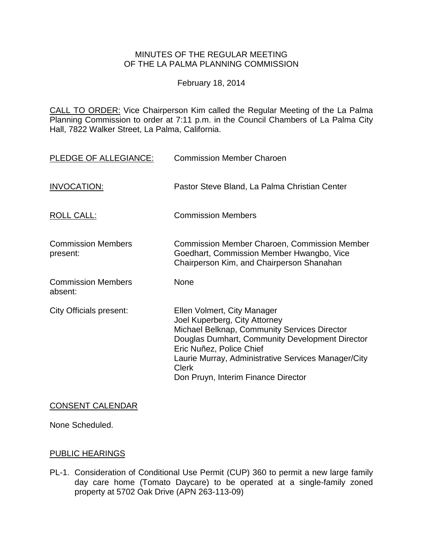# MINUTES OF THE REGULAR MEETING OF THE LA PALMA PLANNING COMMISSION

February 18, 2014

CALL TO ORDER: Vice Chairperson [Kim called the Regular Meeting of the La Palma](http://lapalma.granicus.com/MediaPlayerFrameHandler.php?view_id=&clip_id=808&meta_id=106180)  Planning Commission to order at 7:11 [p.m. in the Council Chambers of La Palma City](http://lapalma.granicus.com/MediaPlayerFrameHandler.php?view_id=&clip_id=808&meta_id=106180)  [Hall, 7822 Walker Street, La Palma, California.](http://lapalma.granicus.com/MediaPlayerFrameHandler.php?view_id=&clip_id=808&meta_id=106180)

| PLEDGE OF ALLEGIANCE:                 | <b>Commission Member Charoen</b>                                                                                                                                                                                                                                                                          |
|---------------------------------------|-----------------------------------------------------------------------------------------------------------------------------------------------------------------------------------------------------------------------------------------------------------------------------------------------------------|
| <b>INVOCATION:</b>                    | Pastor Steve Bland, La Palma Christian Center                                                                                                                                                                                                                                                             |
| <b>ROLL CALL:</b>                     | <b>Commission Members</b>                                                                                                                                                                                                                                                                                 |
| <b>Commission Members</b><br>present: | <b>Commission Member Charoen, Commission Member</b><br>Goedhart, Commission Member Hwangbo, Vice<br>Chairperson Kim, and Chairperson Shanahan                                                                                                                                                             |
| <b>Commission Members</b><br>absent:  | <b>None</b>                                                                                                                                                                                                                                                                                               |
| <b>City Officials present:</b>        | Ellen Volmert, City Manager<br>Joel Kuperberg, City Attorney<br>Michael Belknap, Community Services Director<br>Douglas Dumhart, Community Development Director<br>Eric Nuñez, Police Chief<br>Laurie Murray, Administrative Services Manager/City<br><b>Clerk</b><br>Don Pruyn, Interim Finance Director |

# CONSENT CALENDAR

None Scheduled.

### [PUBLIC HEARINGS](http://lapalma.granicus.com/MediaPlayerFrameHandler.php?view_id=&clip_id=808&meta_id=106132)

PL-1. [Consideration of Conditional Use Permit \(CUP\) 360 to permit a new large family](http://lapalma.granicus.com/MediaPlayerFrameHandler.php?view_id=&clip_id=808&meta_id=106133)  [day care home \(Tomato Daycare\) to be operated at a single-family zoned](http://lapalma.granicus.com/MediaPlayerFrameHandler.php?view_id=&clip_id=808&meta_id=106133)  [property at 5702 Oak Drive \(APN 263-113-09\)](http://lapalma.granicus.com/MediaPlayerFrameHandler.php?view_id=&clip_id=808&meta_id=106133)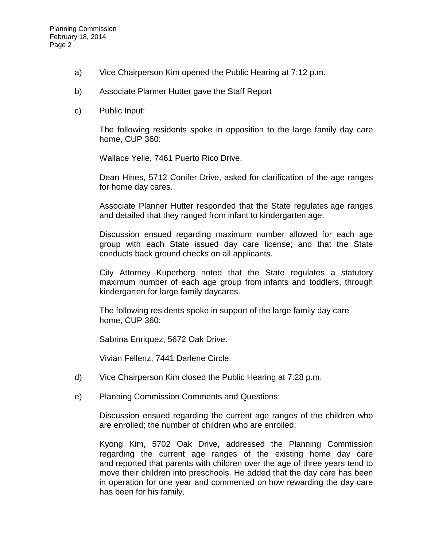- a) Vice Chairperson [Kim opened the Public Hearing at 7:12 p.m.](http://lapalma.granicus.com/MediaPlayerFrameHandler.php?view_id=&clip_id=808&meta_id=106134)
- b) [Associate Planner Hutter gave the Staff Report](http://lapalma.granicus.com/MediaPlayerFrameHandler.php?view_id=&clip_id=808&meta_id=106135)
- c) [Public Input:](http://lapalma.granicus.com/MediaPlayerFrameHandler.php?view_id=&clip_id=808&meta_id=106136)

The following residents spoke in opposition to the large family day care home, CUP 360:

Wallace Yelle, 7461 Puerto Rico Drive.

Dean Hines, 5712 Conifer Drive, asked for clarification of the age ranges for home day cares.

Associate Planner Hutter responded that the State regulates age ranges and detailed that they ranged from infant to kindergarten age.

Discussion ensued regarding maximum number allowed for each age group with each State issued day care license; and that the State conducts back ground checks on all applicants.

City Attorney Kuperberg noted that the State regulates a statutory maximum number of each age group from infants and toddlers, through kindergarten for large family daycares.

The following residents spoke in support of the large family day care home, CUP 360:

Sabrina Enriquez, 5672 Oak Drive.

Vivian Fellenz, 7441 Darlene Circle.

- d) Vice Chairperson [Kim closed the Public Hearing at 7:28 p.m.](http://lapalma.granicus.com/MediaPlayerFrameHandler.php?view_id=&clip_id=808&meta_id=106137)
- e) [Planning Commission Comments and Questions:](http://lapalma.granicus.com/MediaPlayerFrameHandler.php?view_id=&clip_id=808&meta_id=106138)

Discussion ensued regarding the current age ranges of the children who are enrolled; the number of children who are enrolled;

Kyong Kim, 5702 Oak Drive, addressed the Planning Commission regarding the current age ranges of the existing home day care and reported that parents with children over the age of three years tend to move their children into preschools. He added that the day care has been in operation for one year and commented on how rewarding the day care has been for his family.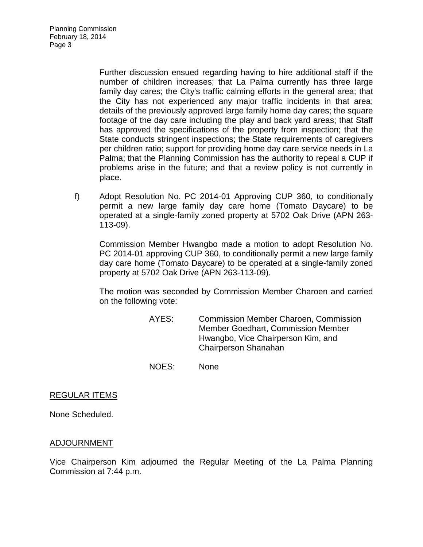Planning Commission February 18, 2014 Page 3

> Further discussion ensued regarding having to hire additional staff if the number of children increases; that La Palma currently has three large family day cares; the City's traffic calming efforts in the general area; that the City has not experienced any major traffic incidents in that area; details of the previously approved large family home day cares; the square footage of the day care including the play and back yard areas; that Staff has approved the specifications of the property from inspection; that the State conducts stringent inspections; the State requirements of caregivers per children ratio; support for providing home day care service needs in La Palma; that the Planning Commission has the authority to repeal a CUP if problems arise in the future; and that a review policy is not currently in place.

f) Adopt Resolution No. PC 2014-01 Approving CUP 360, to conditionally permit a new large family day care home (Tomato Daycare) to be operated at a single-family zoned property at 5702 Oak Drive (APN 263- 113-09).

Commission Member Hwangbo made a motion to adopt Resolution No. PC 2014-01 approving CUP 360, to conditionally permit a new large family day care home (Tomato Daycare) to be operated at a single-family zoned property at 5702 Oak Drive (APN 263-113-09).

The motion was seconded by Commission Member Charoen and carried on the following vote:

> AYES: Commission Member Charoen, Commission Member Goedhart, Commission Member Hwangbo, Vice Chairperson Kim, and Chairperson Shanahan

NOES: None

### REGULAR ITEMS

None Scheduled.

### [ADJOURNMENT](http://lapalma.granicus.com/MediaPlayerFrameHandler.php?view_id=&clip_id=808&meta_id=106179)

Vice Chairperson Kim adjourned the Regular Meeting of the La Palma Planning Commission at 7:44 p.m.